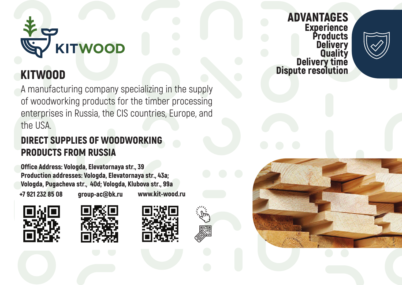

## KITWOOD

A manufacturing company specializing in the supply of woodworking products for the timber processing enterprises in Russia, the CIS countries, Europe, and the USA.

## DIRECT SUPPLIES OF WOODWORKING PRODUCTS FROM RUSSIA

Office Address: Vologda, Elevatornaya str., 39 Production addresses: Vologda, Elevatornaya str., 43a; Vologda, Pugacheva str., 40d; Vologda, Klubova str., 99a www.kit-wood.ru +7 921 232 85 08 group-ac@bk.ru